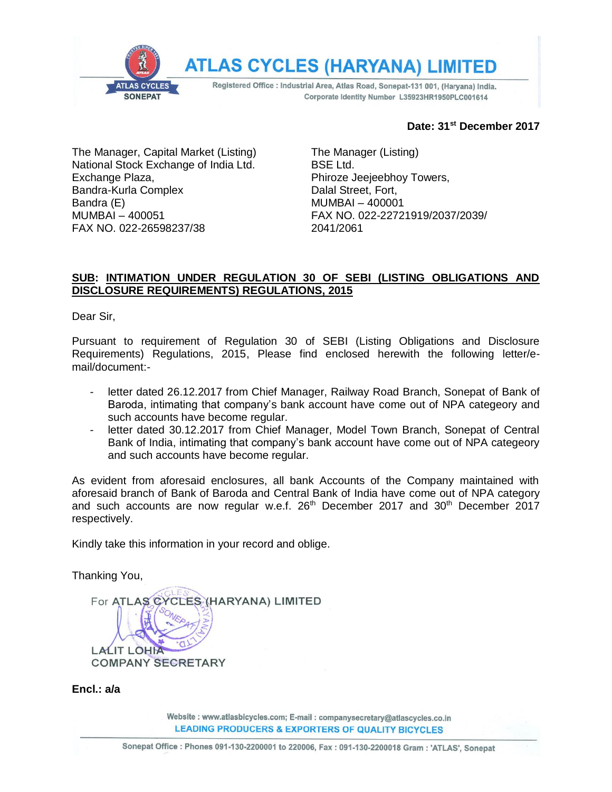

### **Date: 31st December 2017**

The Manager, Capital Market (Listing) National Stock Exchange of India Ltd. Exchange Plaza, Bandra-Kurla Complex Bandra (E) MUMBAI – 400051 FAX NO. 022-26598237/38

The Manager (Listing) BSE Ltd. Phiroze Jeejeebhoy Towers, Dalal Street, Fort, MUMBAI – 400001 FAX NO. 022-22721919/2037/2039/ 2041/2061

## **SUB: INTIMATION UNDER REGULATION 30 OF SEBI (LISTING OBLIGATIONS AND DISCLOSURE REQUIREMENTS) REGULATIONS, 2015**

Dear Sir,

Pursuant to requirement of Regulation 30 of SEBI (Listing Obligations and Disclosure Requirements) Regulations, 2015, Please find enclosed herewith the following letter/email/document:-

- letter dated 26.12.2017 from Chief Manager, Railway Road Branch, Sonepat of Bank of Baroda, intimating that company's bank account have come out of NPA categeory and such accounts have become regular.
- letter dated 30.12.2017 from Chief Manager, Model Town Branch, Sonepat of Central Bank of India, intimating that company's bank account have come out of NPA categeory and such accounts have become regular.

As evident from aforesaid enclosures, all bank Accounts of the Company maintained with aforesaid branch of Bank of Baroda and Central Bank of India have come out of NPA category and such accounts are now regular w.e.f. 26<sup>th</sup> December 2017 and 30<sup>th</sup> December 2017 respectively.

Kindly take this information in your record and oblige.

Thanking You,

For ATLAS CYCLES (HARYANA) LIMITED **LALIT LOHIA COMPANY SECRETARY** 

#### **Encl.: a/a**

Website: www.atlasbicycles.com; E-mail: companysecretary@atlascycles.co.in **LEADING PRODUCERS & EXPORTERS OF QUALITY BICYCLES**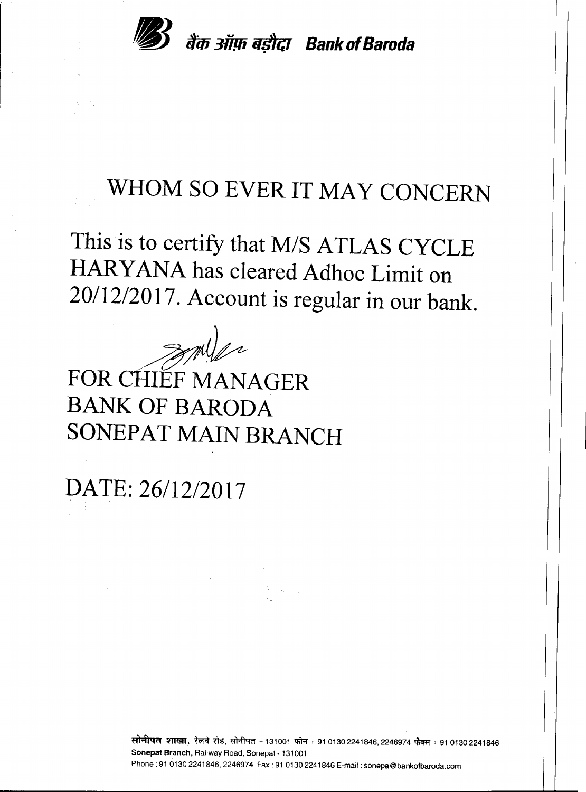

# **WHOM SO EVER IT MAY CONCERN**

**This is to certify that** *MIS* **ATLAS CYCLE HARY ANA has cleared Adhoc Limit on** *20/12/2017.* **Account is regular in our bank.**

~ **FOR CHIEF MANAGER BANK OF BARODA SONEPAT MAIN BRANCH**

**DATE:** *26/12/2017*

**सोनीपत शाखा,** रेलवे रोड, सोनीपत - 131001 फोन ः 91 0130 2241846, 2246974 फैक्स ः 91 0130 2241846 Sonepat Branch, Railway Road, Sonepat - 131001 Phone: 91 0130 2241846, 2246974 Fax: 91 0130 2241846 E-mail: sonepa@bankofbaroda.com